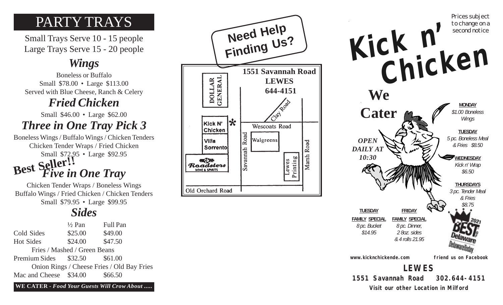# PARTY TRAYS

Small Trays Serve 10 - 15 people Large Trays Serve 15 - 20 people

# *Wings*

Boneless or Buffalo Small \$78.00 • Large \$113.00 Served with Blue Cheese, Ranch & Celery

# *Fried Chicken*

Small \$46.00 • Large \$62.00 *Three in One Tray Pick 3*

Boneless Wings / Buffalo Wings / Chicken Tenders Chicken Tender Wraps / Fried Chicken Small \$72.95 • Large \$92.95 *Five in One Tray* **Best Seller!!**

Chicken Tender Wraps / Boneless Wings Buffalo Wings / Fried Chicken / Chicken Tenders Small \$79.95 • Large \$99.95

# *Sides*

|                               | $\frac{1}{2}$ Pan            | <b>Full Pan</b>                            |
|-------------------------------|------------------------------|--------------------------------------------|
| Cold Sides                    | \$25.00                      | \$49.00                                    |
| <b>Hot Sides</b>              | \$24.00                      | \$47.50                                    |
|                               | Fries / Mashed / Green Beans |                                            |
| Premium Sides \$32.50 \$61.00 |                              |                                            |
|                               |                              | Onion Rings / Cheese Fries / Old Bay Fries |
| Mac and Cheese \$34.00        |                              | \$66.50                                    |
|                               |                              |                                            |

**WE CATER -** *Food Your Guests Will Crow About .....*